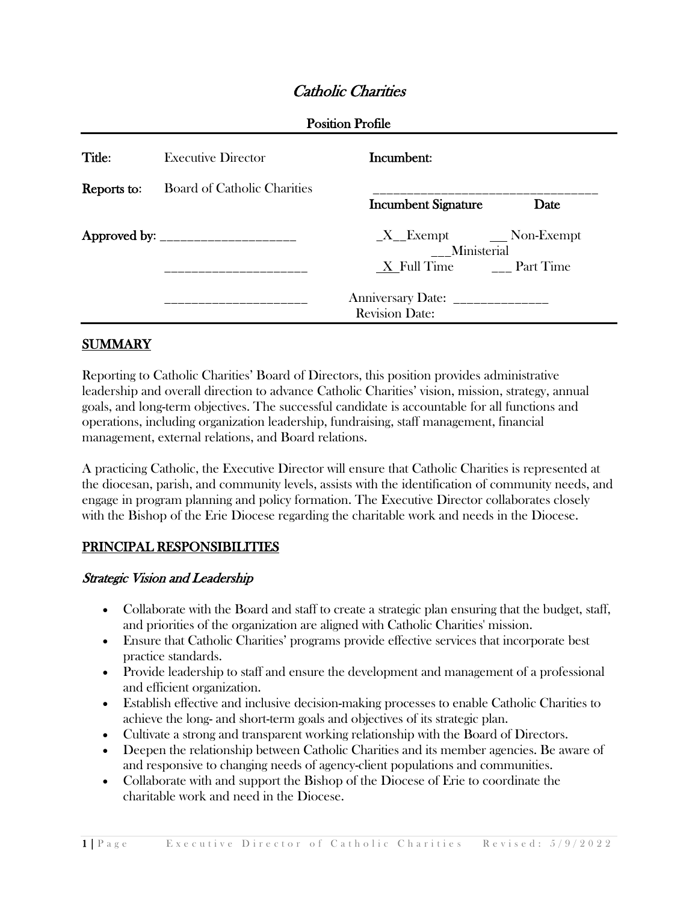# Catholic Charities

| Title:      | <b>Executive Director</b>            | Incumbent:                                                 |                                                            |  |
|-------------|--------------------------------------|------------------------------------------------------------|------------------------------------------------------------|--|
| Reports to: | <b>Board of Catholic Charities</b>   | <b>Incumbent Signature</b>                                 | Date                                                       |  |
|             | Approved by: _______________________ |                                                            | $X$ <sub>_</sub> Exempt $\qquad$ Non-Exempt<br>Ministerial |  |
|             |                                      | X Full Time Part Time                                      |                                                            |  |
|             |                                      | Anniversary Date: _______________<br><b>Revision Date:</b> |                                                            |  |

## **SUMMARY**

Reporting to Catholic Charities' Board of Directors, this position provides administrative leadership and overall direction to advance Catholic Charities' vision, mission, strategy, annual goals, and long-term objectives. The successful candidate is accountable for all functions and operations, including organization leadership, fundraising, staff management, financial management, external relations, and Board relations.

A practicing Catholic, the Executive Director will ensure that Catholic Charities is represented at the diocesan, parish, and community levels, assists with the identification of community needs, and engage in program planning and policy formation. The Executive Director collaborates closely with the Bishop of the Erie Diocese regarding the charitable work and needs in the Diocese.

### PRINCIPAL RESPONSIBILITIES

#### Strategic Vision and Leadership

- Collaborate with the Board and staff to create a strategic plan ensuring that the budget, staff, and priorities of the organization are aligned with Catholic Charities' mission.
- Ensure that Catholic Charities' programs provide effective services that incorporate best practice standards.
- Provide leadership to staff and ensure the development and management of a professional and efficient organization.
- Establish effective and inclusive decision-making processes to enable Catholic Charities to achieve the long- and short-term goals and objectives of its strategic plan.
- Cultivate a strong and transparent working relationship with the Board of Directors.
- Deepen the relationship between Catholic Charities and its member agencies. Be aware of and responsive to changing needs of agency-client populations and communities.
- Collaborate with and support the Bishop of the Diocese of Erie to coordinate the charitable work and need in the Diocese.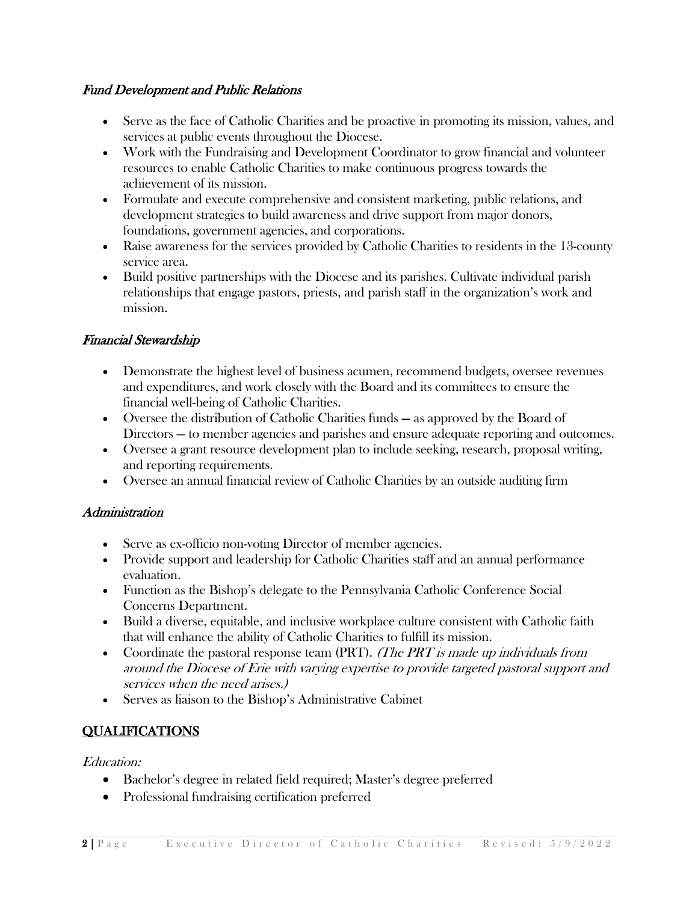### Fund Development and Public Relations

- Serve as the face of Catholic Charities and be proactive in promoting its mission, values, and services at public events throughout the Diocese.
- Work with the Fundraising and Development Coordinator to grow financial and volunteer resources to enable Catholic Charities to make continuous progress towards the achievement of its mission.
- Formulate and execute comprehensive and consistent marketing, public relations, and development strategies to build awareness and drive support from major donors, foundations, government agencies, and corporations.
- Raise awareness for the services provided by Catholic Charities to residents in the 13-county service area.
- Build positive partnerships with the Diocese and its parishes. Cultivate individual parish relationships that engage pastors, priests, and parish staff in the organization's work and mission.

## Financial Stewardship

- Demonstrate the highest level of business acumen, recommend budgets, oversee revenues and expenditures, and work closely with the Board and its committees to ensure the financial well-being of Catholic Charities.
- Oversee the distribution of Catholic Charities funds as approved by the Board of Directors — to member agencies and parishes and ensure adequate reporting and outcomes.
- Oversee a grant resource development plan to include seeking, research, proposal writing, and reporting requirements.
- Oversee an annual financial review of Catholic Charities by an outside auditing firm

## **Administration**

- Serve as ex-officio non-voting Director of member agencies.
- Provide support and leadership for Catholic Charities staff and an annual performance evaluation.
- Function as the Bishop's delegate to the Pennsylvania Catholic Conference Social Concerns Department.
- Build a diverse, equitable, and inclusive workplace culture consistent with Catholic faith that will enhance the ability of Catholic Charities to fulfill its mission.
- Coordinate the pastoral response team  $(PRT)$ . *(The PRT is made up individuals from*) around the Diocese of Erie with varying expertise to provide targeted pastoral support and services when the need arises.)
- Serves as liaison to the Bishop's Administrative Cabinet

# **QUALIFICATIONS**

### Education:

- Bachelor's degree in related field required; Master's degree preferred
- Professional fundraising certification preferred